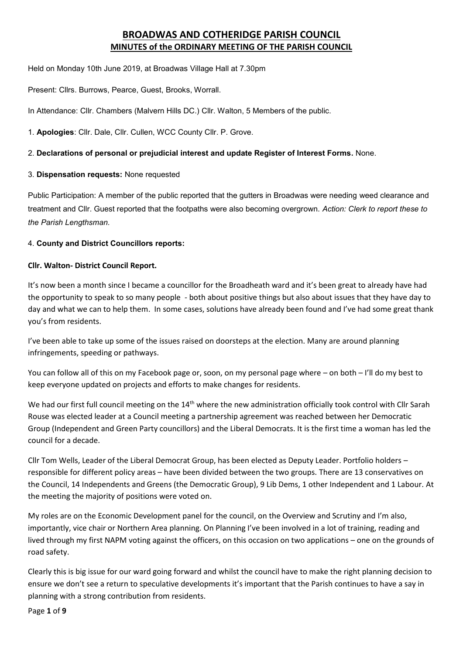# **BROADWAS AND COTHERIDGE PARISH COUNCIL MINUTES of the ORDINARY MEETING OF THE PARISH COUNCIL**

Held on Monday 10th June 2019, at Broadwas Village Hall at 7.30pm

Present: Cllrs. Burrows, Pearce, Guest, Brooks, Worrall.

In Attendance: Cllr. Chambers (Malvern Hills DC.) Cllr. Walton, 5 Members of the public.

1. **Apologies**: Cllr. Dale, Cllr. Cullen, WCC County Cllr. P. Grove.

#### 2. **Declarations of personal or prejudicial interest and update Register of Interest Forms.** None.

#### 3. **Dispensation requests:** None requested

Public Participation: A member of the public reported that the gutters in Broadwas were needing weed clearance and treatment and Cllr. Guest reported that the footpaths were also becoming overgrown. *Action: Clerk to report these to the Parish Lengthsman.*

#### 4. **County and District Councillors reports:**

#### **Cllr. Walton- District Council Report.**

It's now been a month since I became a councillor for the Broadheath ward and it's been great to already have had the opportunity to speak to so many people - both about positive things but also about issues that they have day to day and what we can to help them. In some cases, solutions have already been found and I've had some great thank you's from residents.

I've been able to take up some of the issues raised on doorsteps at the election. Many are around planning infringements, speeding or pathways.

You can follow all of this on my Facebook page or, soon, on my personal page where – on both – I'll do my best to keep everyone updated on projects and efforts to make changes for residents.

We had our first full council meeting on the 14<sup>th</sup> where the new administration officially took control with Cllr Sarah Rouse was elected leader at a Council meeting a partnership agreement was reached between her Democratic Group (Independent and Green Party councillors) and the Liberal Democrats. It is the first time a woman has led the council for a decade.

Cllr Tom Wells, Leader of the Liberal Democrat Group, has been elected as Deputy Leader. Portfolio holders – responsible for different policy areas – have been divided between the two groups. There are 13 conservatives on the Council, 14 Independents and Greens (the Democratic Group), 9 Lib Dems, 1 other Independent and 1 Labour. At the meeting the majority of positions were voted on.

My roles are on the Economic Development panel for the council, on the Overview and Scrutiny and I'm also, importantly, vice chair or Northern Area planning. On Planning I've been involved in a lot of training, reading and lived through my first NAPM voting against the officers, on this occasion on two applications – one on the grounds of road safety.

Clearly this is big issue for our ward going forward and whilst the council have to make the right planning decision to ensure we don't see a return to speculative developments it's important that the Parish continues to have a say in planning with a strong contribution from residents.

Page **1** of **9**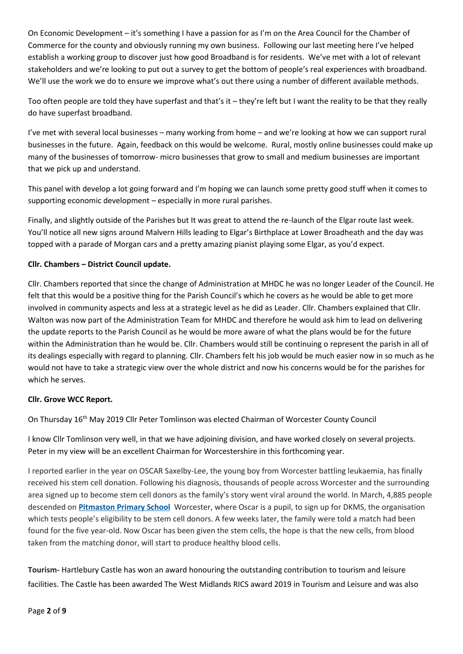On Economic Development – it's something I have a passion for as I'm on the Area Council for the Chamber of Commerce for the county and obviously running my own business. Following our last meeting here I've helped establish a working group to discover just how good Broadband is for residents. We've met with a lot of relevant stakeholders and we're looking to put out a survey to get the bottom of people's real experiences with broadband. We'll use the work we do to ensure we improve what's out there using a number of different available methods.

Too often people are told they have superfast and that's it – they're left but I want the reality to be that they really do have superfast broadband.

I've met with several local businesses – many working from home – and we're looking at how we can support rural businesses in the future. Again, feedback on this would be welcome. Rural, mostly online businesses could make up many of the businesses of tomorrow- micro businesses that grow to small and medium businesses are important that we pick up and understand.

This panel with develop a lot going forward and I'm hoping we can launch some pretty good stuff when it comes to supporting economic development – especially in more rural parishes.

Finally, and slightly outside of the Parishes but It was great to attend the re-launch of the Elgar route last week. You'll notice all new signs around Malvern Hills leading to Elgar's Birthplace at Lower Broadheath and the day was topped with a parade of Morgan cars and a pretty amazing pianist playing some Elgar, as you'd expect.

## **Cllr. Chambers – District Council update.**

Cllr. Chambers reported that since the change of Administration at MHDC he was no longer Leader of the Council. He felt that this would be a positive thing for the Parish Council's which he covers as he would be able to get more involved in community aspects and less at a strategic level as he did as Leader. Cllr. Chambers explained that Cllr. Walton was now part of the Administration Team for MHDC and therefore he would ask him to lead on delivering the update reports to the Parish Council as he would be more aware of what the plans would be for the future within the Administration than he would be. Cllr. Chambers would still be continuing o represent the parish in all of its dealings especially with regard to planning. Cllr. Chambers felt his job would be much easier now in so much as he would not have to take a strategic view over the whole district and now his concerns would be for the parishes for which he serves.

#### **Cllr. Grove WCC Report.**

On Thursday 16th May 2019 Cllr Peter Tomlinson was elected Chairman of Worcester County Council

I know Cllr Tomlinson very well, in that we have adjoining division, and have worked closely on several projects. Peter in my view will be an excellent Chairman for Worcestershire in this forthcoming year.

I reported earlier in the year on OSCAR Saxelby-Lee, the young boy from Worcester battling leukaemia, has finally received his stem cell donation. Following his diagnosis, thousands of people across Worcester and the surrounding area signed up to become stem cell donors as the family's story went viral around the world. In March, 4,885 people descended on **[Pitmaston](https://www.worcesternews.co.uk/search/?search=Pitmaston+Primary+School&topic_id=6797) Primary School** Worcester, where Oscar is a pupil, to sign up for DKMS, the organisation which tests people's eligibility to be stem cell donors. A few weeks later, the family were told a match had been found for the five year-old. Now Oscar has been given the stem cells, the hope is that the new cells, from blood taken from the matching donor, will start to produce healthy blood cells.

**Tourism-** Hartlebury Castle has won an award honouring the outstanding contribution to tourism and leisure facilities. The Castle has been awarded The West Midlands RICS award 2019 in Tourism and Leisure and was also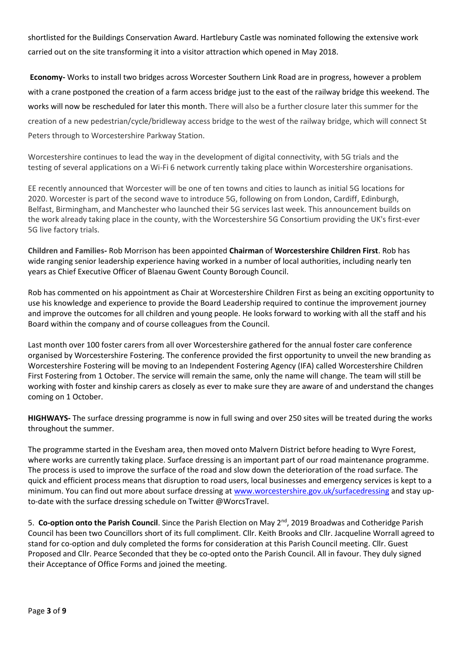shortlisted for the Buildings Conservation Award. Hartlebury Castle was nominated following the extensive work carried out on the site transforming it into a visitor attraction which opened in May 2018.

**Economy-** Works to install two bridges across Worcester Southern Link Road are in progress, however a problem with a crane postponed the creation of a farm access bridge just to the east of the railway bridge this weekend. The works will now be rescheduled for later this month. There will also be a further closure later this summer for the creation of a new pedestrian/cycle/bridleway access bridge to the west of the railway bridge, which will connect St Peters through to Worcestershire Parkway Station.

Worcestershire continues to lead the way in the development of digital connectivity, with 5G trials and the testing of several applications on a Wi-Fi 6 network currently taking place within Worcestershire organisations.

EE recently announced that Worcester will be one of ten towns and cities to launch as initial 5G locations for 2020. Worcester is part of the second wave to introduce 5G, following on from London, Cardiff, Edinburgh, Belfast, Birmingham, and Manchester who launched their 5G services last week. This announcement builds on the work already taking place in the county, with the Worcestershire 5G Consortium providing the UK's first-ever 5G live factory trials.

**Children and Families-** Rob Morrison has been appointed **Chairman** of **Worcestershire Children First**. Rob has wide ranging senior leadership experience having worked in a number of local authorities, including nearly ten years as Chief Executive Officer of Blaenau Gwent County Borough Council.

Rob has commented on his appointment as Chair at Worcestershire Children First as being an exciting opportunity to use his knowledge and experience to provide the Board Leadership required to continue the improvement journey and improve the outcomes for all children and young people. He looks forward to working with all the staff and his Board within the company and of course colleagues from the Council.

Last month over 100 foster carers from all over Worcestershire gathered for the annual foster care conference organised by Worcestershire Fostering. The conference provided the first opportunity to unveil the new branding as Worcestershire Fostering will be moving to an Independent Fostering Agency (IFA) called Worcestershire Children First Fostering from 1 October. The service will remain the same, only the name will change. The team will still be working with foster and kinship carers as closely as ever to make sure they are aware of and understand the changes coming on 1 October.

**HIGHWAYS-** The surface dressing programme is now in full swing and over 250 sites will be treated during the works throughout the summer.

The programme started in the Evesham area, then moved onto Malvern District before heading to Wyre Forest, where works are currently taking place. Surface dressing is an important part of our road maintenance programme. The process is used to improve the surface of the road and slow down the deterioration of the road surface. The quick and efficient process means that disruption to road users, local businesses and emergency services is kept to a minimum. You can find out more about surface dressing at [www.worcestershire.gov.uk/surfacedressing](https://outlook.worcestershire.gov.uk/owa/redir.aspx?C=TpgfO6aLESiAwlOaz83mlKb-VCgOGVGxf3Fd31RpE5rpO8hwCOjWCA..&URL=http%3a%2f%2fwww.worcestershire.gov.uk%2fsurfacedressing) and stay upto-date with the surface dressing schedule on Twitter @WorcsTravel.

5. **Co-option onto the Parish Council**. Since the Parish Election on May 2nd, 2019 Broadwas and Cotheridge Parish Council has been two Councillors short of its full compliment. Cllr. Keith Brooks and Cllr. Jacqueline Worrall agreed to stand for co-option and duly completed the forms for consideration at this Parish Council meeting. Cllr. Guest Proposed and Cllr. Pearce Seconded that they be co-opted onto the Parish Council. All in favour. They duly signed their Acceptance of Office Forms and joined the meeting.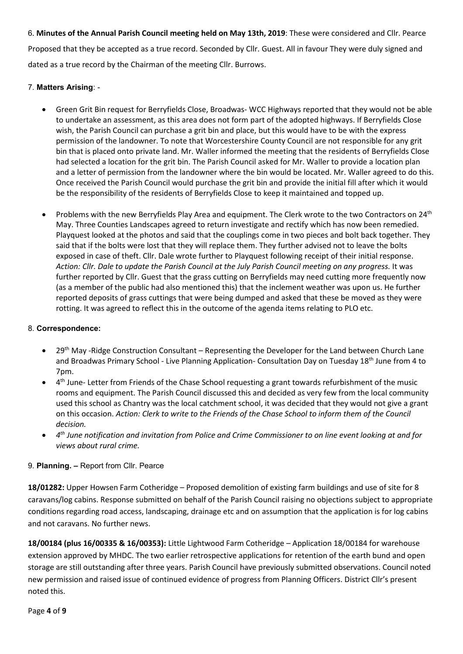6. **Minutes of the Annual Parish Council meeting held on May 13th, 2019**: These were considered and Cllr. Pearce Proposed that they be accepted as a true record. Seconded by Cllr. Guest. All in favour They were duly signed and dated as a true record by the Chairman of the meeting Cllr. Burrows.

## 7. **Matters Arising**: -

- Green Grit Bin request for Berryfields Close, Broadwas- WCC Highways reported that they would not be able to undertake an assessment, as this area does not form part of the adopted highways. If Berryfields Close wish, the Parish Council can purchase a grit bin and place, but this would have to be with the express permission of the landowner. To note that Worcestershire County Council are not responsible for any grit bin that is placed onto private land. Mr. Waller informed the meeting that the residents of Berryfields Close had selected a location for the grit bin. The Parish Council asked for Mr. Waller to provide a location plan and a letter of permission from the landowner where the bin would be located. Mr. Waller agreed to do this. Once received the Parish Council would purchase the grit bin and provide the initial fill after which it would be the responsibility of the residents of Berryfields Close to keep it maintained and topped up.
- Problems with the new Berryfields Play Area and equipment. The Clerk wrote to the two Contractors on 24<sup>th</sup> May. Three Counties Landscapes agreed to return investigate and rectify which has now been remedied. Playquest looked at the photos and said that the couplings come in two pieces and bolt back together. They said that if the bolts were lost that they will replace them. They further advised not to leave the bolts exposed in case of theft. Cllr. Dale wrote further to Playquest following receipt of their initial response. *Action: Cllr. Dale to update the Parish Council at the July Parish Council meeting on any progress.* It was further reported by Cllr. Guest that the grass cutting on Berryfields may need cutting more frequently now (as a member of the public had also mentioned this) that the inclement weather was upon us. He further reported deposits of grass cuttings that were being dumped and asked that these be moved as they were rotting. It was agreed to reflect this in the outcome of the agenda items relating to PLO etc.

## 8. **Correspondence:**

- 29<sup>th</sup> May -Ridge Construction Consultant Representing the Developer for the Land between Church Lane and Broadwas Primary School - Live Planning Application- Consultation Day on Tuesday 18<sup>th</sup> June from 4 to 7pm.
- 4<sup>th</sup> June- Letter from Friends of the Chase School requesting a grant towards refurbishment of the music rooms and equipment. The Parish Council discussed this and decided as very few from the local community used this school as Chantry was the local catchment school, it was decided that they would not give a grant on this occasion. *Action: Clerk to write to the Friends of the Chase School to inform them of the Council decision.*
- *4 th June notification and invitation from Police and Crime Commissioner to on line event looking at and for views about rural crime.*

## 9. **Planning. –** Report from Cllr. Pearce

**18/01282:** Upper Howsen Farm Cotheridge – Proposed demolition of existing farm buildings and use of site for 8 caravans/log cabins. Response submitted on behalf of the Parish Council raising no objections subject to appropriate conditions regarding road access, landscaping, drainage etc and on assumption that the application is for log cabins and not caravans. No further news.

**18/00184 (plus 16/00335 & 16/00353):** Little Lightwood Farm Cotheridge – Application 18/00184 for warehouse extension approved by MHDC. The two earlier retrospective applications for retention of the earth bund and open storage are still outstanding after three years. Parish Council have previously submitted observations. Council noted new permission and raised issue of continued evidence of progress from Planning Officers. District Cllr's present noted this.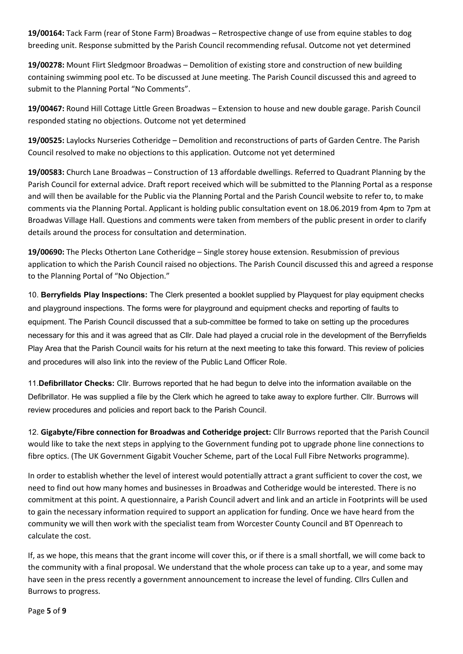**19/00164:** Tack Farm (rear of Stone Farm) Broadwas – Retrospective change of use from equine stables to dog breeding unit. Response submitted by the Parish Council recommending refusal. Outcome not yet determined

**19/00278:** Mount Flirt Sledgmoor Broadwas – Demolition of existing store and construction of new building containing swimming pool etc. To be discussed at June meeting. The Parish Council discussed this and agreed to submit to the Planning Portal "No Comments".

**19/00467:** Round Hill Cottage Little Green Broadwas – Extension to house and new double garage. Parish Council responded stating no objections. Outcome not yet determined

**19/00525:** Laylocks Nurseries Cotheridge – Demolition and reconstructions of parts of Garden Centre. The Parish Council resolved to make no objections to this application. Outcome not yet determined

**19/00583:** Church Lane Broadwas – Construction of 13 affordable dwellings. Referred to Quadrant Planning by the Parish Council for external advice. Draft report received which will be submitted to the Planning Portal as a response and will then be available for the Public via the Planning Portal and the Parish Council website to refer to, to make comments via the Planning Portal. Applicant is holding public consultation event on 18.06.2019 from 4pm to 7pm at Broadwas Village Hall. Questions and comments were taken from members of the public present in order to clarify details around the process for consultation and determination.

**19/00690:** The Plecks Otherton Lane Cotheridge – Single storey house extension. Resubmission of previous application to which the Parish Council raised no objections. The Parish Council discussed this and agreed a response to the Planning Portal of "No Objection."

10. **Berryfields Play Inspections:** The Clerk presented a booklet supplied by Playquest for play equipment checks and playground inspections. The forms were for playground and equipment checks and reporting of faults to equipment. The Parish Council discussed that a sub-committee be formed to take on setting up the procedures necessary for this and it was agreed that as Cllr. Dale had played a crucial role in the development of the Berryfields Play Area that the Parish Council waits for his return at the next meeting to take this forward. This review of policies and procedures will also link into the review of the Public Land Officer Role.

11.**Defibrillator Checks:** Cllr. Burrows reported that he had begun to delve into the information available on the Defibrillator. He was supplied a file by the Clerk which he agreed to take away to explore further. Cllr. Burrows will review procedures and policies and report back to the Parish Council.

12. **Gigabyte/Fibre connection for Broadwas and Cotheridge project:** Cllr Burrows reported that the Parish Council would like to take the next steps in applying to the Government funding pot to upgrade phone line connections to fibre optics. (The UK Government Gigabit Voucher Scheme, part of the Local Full Fibre Networks programme).

In order to establish whether the level of interest would potentially attract a grant sufficient to cover the cost, we need to find out how many homes and businesses in Broadwas and Cotheridge would be interested. There is no commitment at this point. A questionnaire, a Parish Council advert and link and an article in Footprints will be used to gain the necessary information required to support an application for funding. Once we have heard from the community we will then work with the specialist team from Worcester County Council and BT Openreach to calculate the cost.

If, as we hope, this means that the grant income will cover this, or if there is a small shortfall, we will come back to the community with a final proposal. We understand that the whole process can take up to a year, and some may have seen in the press recently a government announcement to increase the level of funding. Cllrs Cullen and Burrows to progress.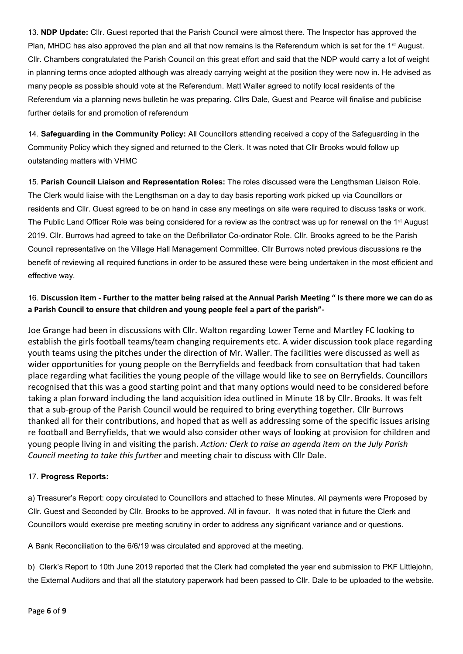13. **NDP Update:** Cllr. Guest reported that the Parish Council were almost there. The Inspector has approved the Plan, MHDC has also approved the plan and all that now remains is the Referendum which is set for the 1<sup>st</sup> August. Cllr. Chambers congratulated the Parish Council on this great effort and said that the NDP would carry a lot of weight in planning terms once adopted although was already carrying weight at the position they were now in. He advised as many people as possible should vote at the Referendum. Matt Waller agreed to notify local residents of the Referendum via a planning news bulletin he was preparing. Cllrs Dale, Guest and Pearce will finalise and publicise further details for and promotion of referendum

14. **Safeguarding in the Community Policy:** All Councillors attending received a copy of the Safeguarding in the Community Policy which they signed and returned to the Clerk. It was noted that Cllr Brooks would follow up outstanding matters with VHMC

15. **Parish Council Liaison and Representation Roles:** The roles discussed were the Lengthsman Liaison Role. The Clerk would liaise with the Lengthsman on a day to day basis reporting work picked up via Councillors or residents and Cllr. Guest agreed to be on hand in case any meetings on site were required to discuss tasks or work. The Public Land Officer Role was being considered for a review as the contract was up for renewal on the 1<sup>st</sup> August 2019. Cllr. Burrows had agreed to take on the Defibrillator Co-ordinator Role. Cllr. Brooks agreed to be the Parish Council representative on the Village Hall Management Committee. Cllr Burrows noted previous discussions re the benefit of reviewing all required functions in order to be assured these were being undertaken in the most efficient and effective way.

## 16. **Discussion item - Further to the matter being raised at the Annual Parish Meeting " Is there more we can do as a Parish Council to ensure that children and young people feel a part of the parish"-**

Joe Grange had been in discussions with Cllr. Walton regarding Lower Teme and Martley FC looking to establish the girls football teams/team changing requirements etc. A wider discussion took place regarding youth teams using the pitches under the direction of Mr. Waller. The facilities were discussed as well as wider opportunities for young people on the Berryfields and feedback from consultation that had taken place regarding what facilities the young people of the village would like to see on Berryfields. Councillors recognised that this was a good starting point and that many options would need to be considered before taking a plan forward including the land acquisition idea outlined in Minute 18 by Cllr. Brooks. It was felt that a sub-group of the Parish Council would be required to bring everything together. Cllr Burrows thanked all for their contributions, and hoped that as well as addressing some of the specific issues arising re football and Berryfields, that we would also consider other ways of looking at provision for children and young people living in and visiting the parish. *Action: Clerk to raise an agenda item on the July Parish Council meeting to take this further* and meeting chair to discuss with Cllr Dale.

## 17. **Progress Reports:**

a) Treasurer's Report: copy circulated to Councillors and attached to these Minutes. All payments were Proposed by Cllr. Guest and Seconded by Cllr. Brooks to be approved. All in favour. It was noted that in future the Clerk and Councillors would exercise pre meeting scrutiny in order to address any significant variance and or questions.

A Bank Reconciliation to the 6/6/19 was circulated and approved at the meeting.

b) Clerk's Report to 10th June 2019 reported that the Clerk had completed the year end submission to PKF Littlejohn, the External Auditors and that all the statutory paperwork had been passed to Cllr. Dale to be uploaded to the website.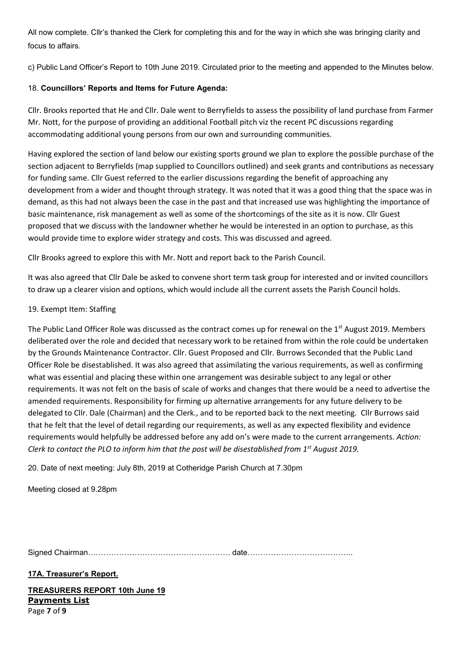All now complete. Cllr's thanked the Clerk for completing this and for the way in which she was bringing clarity and focus to affairs.

c) Public Land Officer's Report to 10th June 2019. Circulated prior to the meeting and appended to the Minutes below.

## 18. **Councillors' Reports and Items for Future Agenda:**

Cllr. Brooks reported that He and Cllr. Dale went to Berryfields to assess the possibility of land purchase from Farmer Mr. Nott, for the purpose of providing an additional Football pitch viz the recent PC discussions regarding accommodating additional young persons from our own and surrounding communities.

Having explored the section of land below our existing sports ground we plan to explore the possible purchase of the section adjacent to Berryfields (map supplied to Councillors outlined) and seek grants and contributions as necessary for funding same. Cllr Guest referred to the earlier discussions regarding the benefit of approaching any development from a wider and thought through strategy. It was noted that it was a good thing that the space was in demand, as this had not always been the case in the past and that increased use was highlighting the importance of basic maintenance, risk management as well as some of the shortcomings of the site as it is now. Cllr Guest proposed that we discuss with the landowner whether he would be interested in an option to purchase, as this would provide time to explore wider strategy and costs. This was discussed and agreed.

Cllr Brooks agreed to explore this with Mr. Nott and report back to the Parish Council.

It was also agreed that Cllr Dale be asked to convene short term task group for interested and or invited councillors to draw up a clearer vision and options, which would include all the current assets the Parish Council holds.

## 19. Exempt Item: Staffing

The Public Land Officer Role was discussed as the contract comes up for renewal on the 1<sup>st</sup> August 2019. Members deliberated over the role and decided that necessary work to be retained from within the role could be undertaken by the Grounds Maintenance Contractor. Cllr. Guest Proposed and Cllr. Burrows Seconded that the Public Land Officer Role be disestablished. It was also agreed that assimilating the various requirements, as well as confirming what was essential and placing these within one arrangement was desirable subject to any legal or other requirements. It was not felt on the basis of scale of works and changes that there would be a need to advertise the amended requirements. Responsibility for firming up alternative arrangements for any future delivery to be delegated to Cllr. Dale (Chairman) and the Clerk., and to be reported back to the next meeting. Cllr Burrows said that he felt that the level of detail regarding our requirements, as well as any expected flexibility and evidence requirements would helpfully be addressed before any add on's were made to the current arrangements. *Action: Clerk to contact the PLO to inform him that the post will be disestablished from 1st August 2019.*

20. Date of next meeting: July 8th, 2019 at Cotheridge Parish Church at 7.30pm

Meeting closed at 9.28pm

Signed Chairman………………………………………………. date…………………………………..

**17A. Treasurer's Report.**

Page **7** of **9 TREASURERS REPORT 10th June 19 Payments List**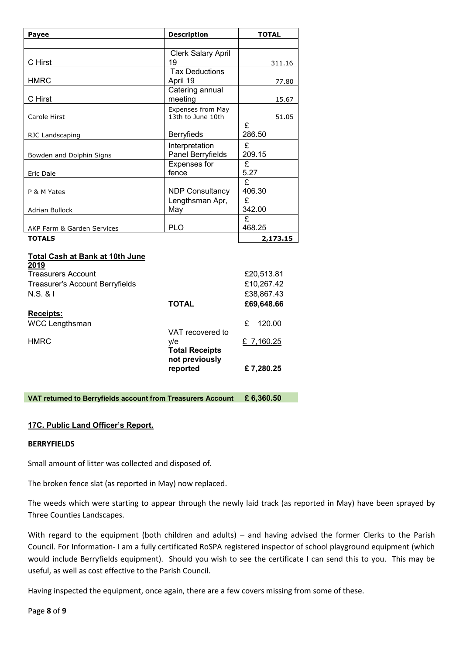| Payee                                          | <b>Description</b>                     | <b>TOTAL</b>           |
|------------------------------------------------|----------------------------------------|------------------------|
|                                                |                                        |                        |
| C Hirst                                        | <b>Clerk Salary April</b><br>19        | 311.16                 |
| <b>HMRC</b>                                    | <b>Tax Deductions</b><br>April 19      | 77.80                  |
| C Hirst                                        | Catering annual<br>meeting             | 15.67                  |
| Carole Hirst                                   | Expenses from May<br>13th to June 10th | 51.05                  |
| RJC Landscaping                                | Berryfieds                             | £<br>286.50            |
| Bowden and Dolphin Signs                       | Interpretation<br>Panel Berryfields    | £<br>209.15            |
| Eric Dale                                      | Expenses for<br>fence                  | $\overline{f}$<br>5.27 |
| P & M Yates                                    | <b>NDP Consultancy</b>                 | £<br>406.30            |
| Adrian Bullock                                 | Lengthsman Apr,<br>May                 | £<br>342.00            |
| AKP Farm & Garden Services                     | <b>PLO</b>                             | £<br>468.25            |
| <b>TOTALS</b>                                  |                                        | 2,173.15               |
| <b>Total Cash at Bank at 10th June</b><br>2019 |                                        |                        |
| Treasurers Account                             |                                        | £20,513.81             |
| <b>Treasurer's Account Berryfields</b>         |                                        | £10,267.42             |
| N.S. 8 I                                       |                                        | £38,867.43             |
|                                                | <b>TOTAL</b>                           | £69,648.66             |
| Receipts:                                      |                                        |                        |
| <b>WCC Lengthsman</b>                          | VAT recovered to                       | £<br>120.00            |

|             | <u>UNITECONCIE U</u> IO |           |
|-------------|-------------------------|-----------|
| <b>HMRC</b> | v/e                     | £7.160.25 |
|             | <b>Total Receipts</b>   |           |
|             | not previously          |           |
|             | reported                | £7,280.25 |
|             |                         |           |
|             |                         |           |

**VAT returned to Berryfields account from Treasurers Account £ 6,360.50** 

#### **17C. Public Land Officer's Report.**

#### **BERRYFIELDS**

Small amount of litter was collected and disposed of.

The broken fence slat (as reported in May) now replaced.

The weeds which were starting to appear through the newly laid track (as reported in May) have been sprayed by Three Counties Landscapes.

With regard to the equipment (both children and adults) – and having advised the former Clerks to the Parish Council. For Information- I am a fully certificated RoSPA registered inspector of school playground equipment (which would include Berryfields equipment). Should you wish to see the certificate I can send this to you. This may be useful, as well as cost effective to the Parish Council.

Having inspected the equipment, once again, there are a few covers missing from some of these.

Page **8** of **9**